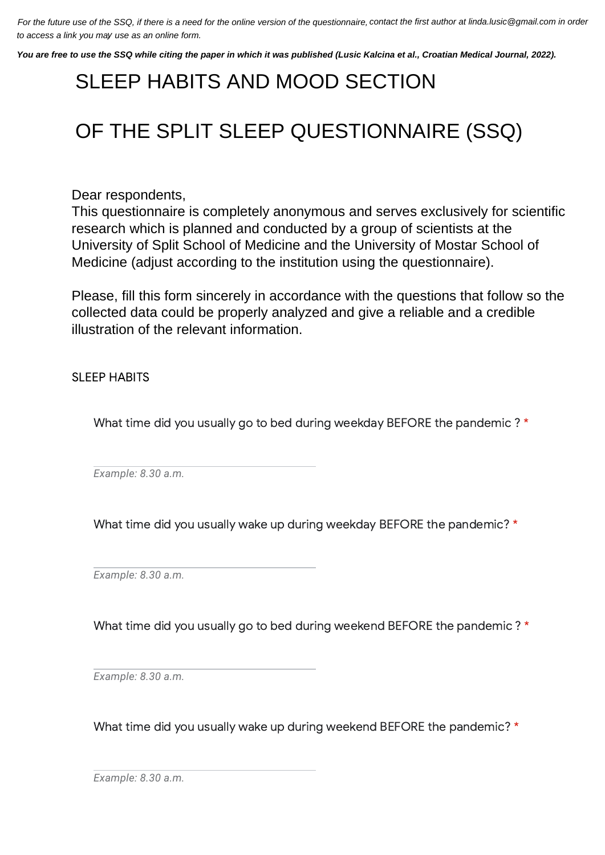For the future use of the SSQ, if there is a need for the online version of the questionnaire, contact the first author at linda.lusic@gmail.com in order to access a link you may use as an online form.

You are free to use the SSQ while citing the paper in which it was published (Lusic Kalcina et al., Croatian Medical Journal, 2022).

## *Mark only one oval per row.* SLEEP HABITS AND MOOD SECTION

## $\overline{1}$ OLEI  $\sim$ QUESTIONNAIRE (SSQ) OF THE SPLIT SLEEP QUESTIONNAIRE (SSQ)

Dear respondents,

research which is planned and conducted by a group of scientists at the<br>University of Split School of Medicine and the University of Mester School University of Split School of Medicine and the University of Mostar School of  $\sum_{i=1}^{n}$ ionio (auju.  $\sum_{i=1}^{n}$ Medicine (adjust according to the institution using the questionnaire). This questionnaire is completely anonymous and serves exclusively for scientific

Please, fill this form sincerely in accordance with the questions that follow so the Please, iiii this form sincerely in accordance with the questions that follow sc<br>collected data could be properly analyzed and give a reliable and a credible illustration of the relevant information.

SLEEP HABITS

What time did you usually go to bed during weekday BEFORE the pandemic ? \*

*Example: 8.30 a.m.*

What time did you usually wake up during weekday BEFORE the pandemic? \*

*Example: 8.30 a.m.*

What time did you usually go to bed during weekend BEFORE the pandemic ? \*

*Example: 8.30 a.m.*

What time did you usually wake up during weekend BEFORE the pandemic? \*

*Example: 8.30 a.m.*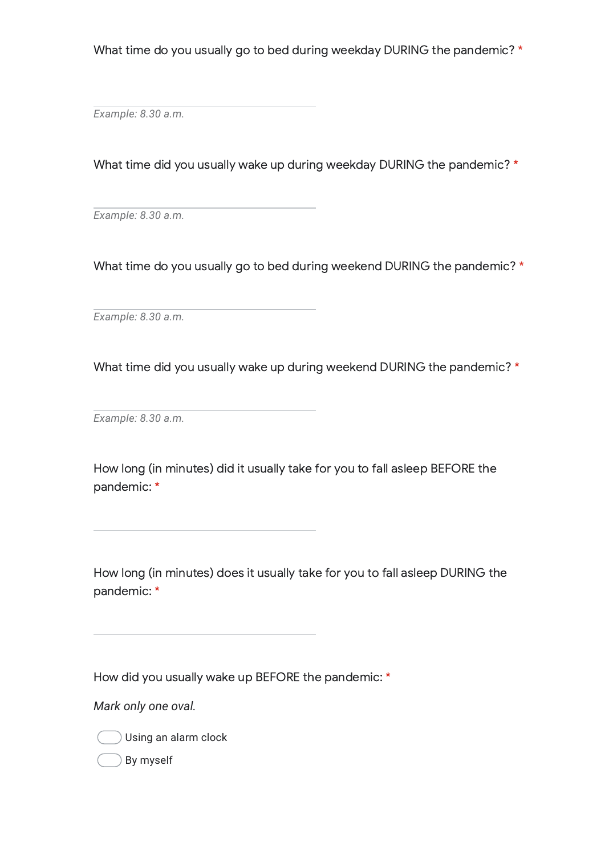What time do you usually go to bed during weekday DURING the pandemic? \*

*Example: 8.30 a.m.*

What time did you usually wake up during weekday DURING the pandemic? \*

*Example: 8.30 a.m.*

What time do you usually go to bed during weekend DURING the pandemic? \*

*Example: 8.30 a.m.*

What time did you usually wake up during weekend DURING the pandemic? \*

*Example: 8.30 a.m.*

How long (in minutes) did it usually take for you to fall asleep BEFORE the pandemic: \*

How long (in minutes) does it usually take for you to fall asleep DURING the pandemic: \*

How did you usually wake up BEFORE the pandemic: \*

*Mark only one oval.*



By myself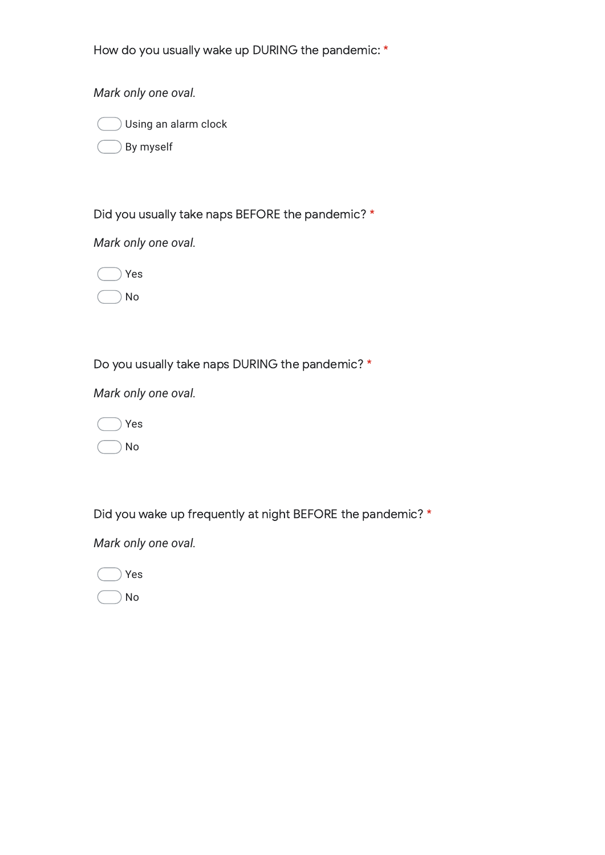How do you usually wake up DURING the pandemic: \*

*Mark only one oval.*



By myself

Did you usually take naps BEFORE the pandemic? \*

*Mark only one oval.*



No

Do you usually take naps DURING the pandemic? \*

*Mark only one oval.*



Did you wake up frequently at night BEFORE the pandemic? \*

*Mark only one oval.*

Yes

No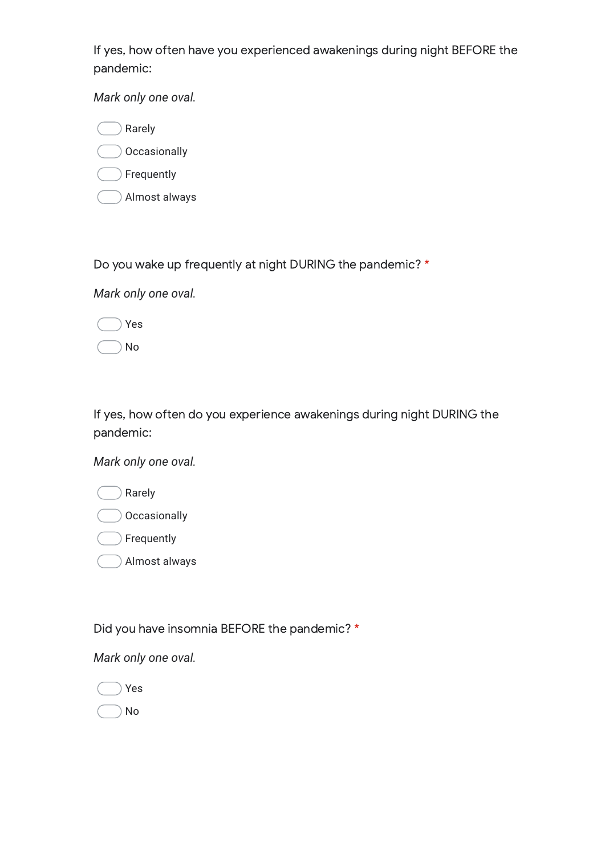If yes, how often have you experienced awakenings during night BEFORE the pandemic:

*Mark only one oval.*

Rarely **Occasionally** Frequently Almost always

Do you wake up frequently at night DURING the pandemic? \*

*Mark only one oval.*

Yes No

If yes, how often do you experience awakenings during night DURING the pandemic:

*Mark only one oval.*

| Rarely        |
|---------------|
| Occasionally  |
| Frequently    |
| Almost always |

Did you have insomnia BEFORE the pandemic? \*

*Mark only one oval.*



No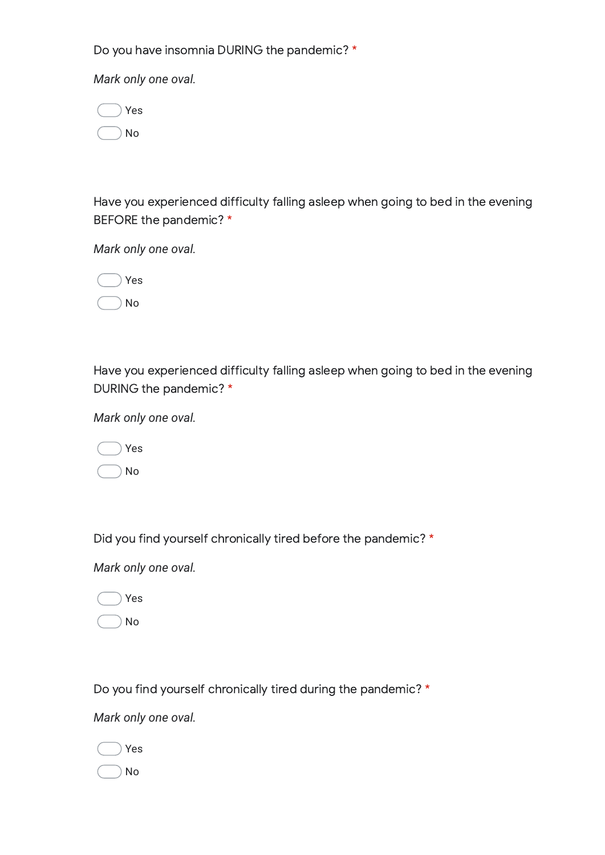Do you have insomnia DURING the pandemic? \*

*Mark only one oval.*

|  | Yes |
|--|-----|
|  | No  |

Have you experienced difficulty falling asleep when going to bed in the evening BEFORE the pandemic? \*

*Mark only one oval.*



Have you experienced difficulty falling asleep when going to bed in the evening DURING the pandemic? \*

*Mark only one oval.*

|  | Yes |
|--|-----|
|  | No  |

Did you find yourself chronically tired before the pandemic? \*

*Mark only one oval.*

Yes

No

Do you find yourself chronically tired during the pandemic? \*

*Mark only one oval.*

Yes

No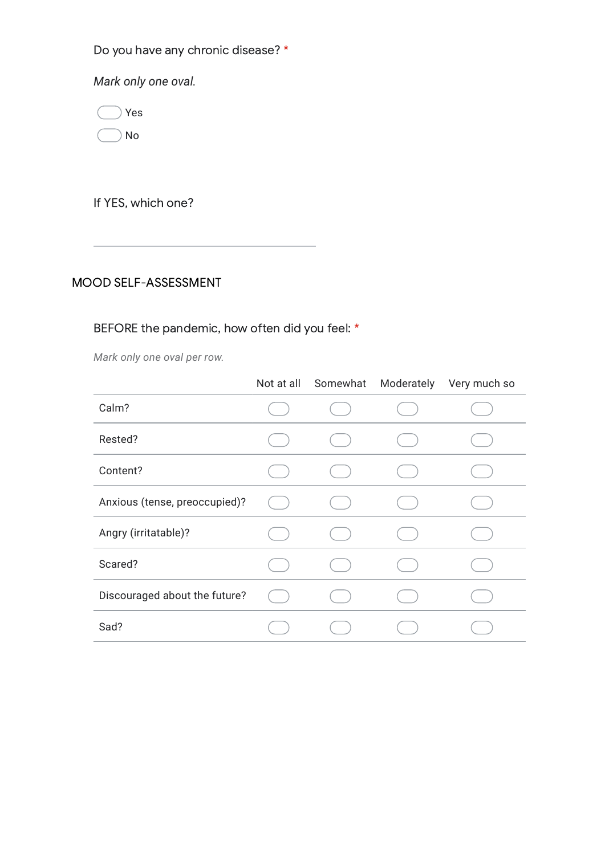Do you have any chronic disease? \*

*Mark only one oval.*

Yes

No

If YES, which one?

## MOOD SELF-ASSESSMENT

## BEFORE the pandemic, how often did you feel: \*

*Mark only one oval per row.*

|                               | Not at all | Somewhat | Moderately Very much so |
|-------------------------------|------------|----------|-------------------------|
| Calm?                         |            |          |                         |
| Rested?                       |            |          |                         |
| Content?                      |            |          |                         |
| Anxious (tense, preoccupied)? |            |          |                         |
| Angry (irritatable)?          |            |          |                         |
| Scared?                       |            |          |                         |
| Discouraged about the future? |            |          |                         |
| Sad?                          |            |          |                         |